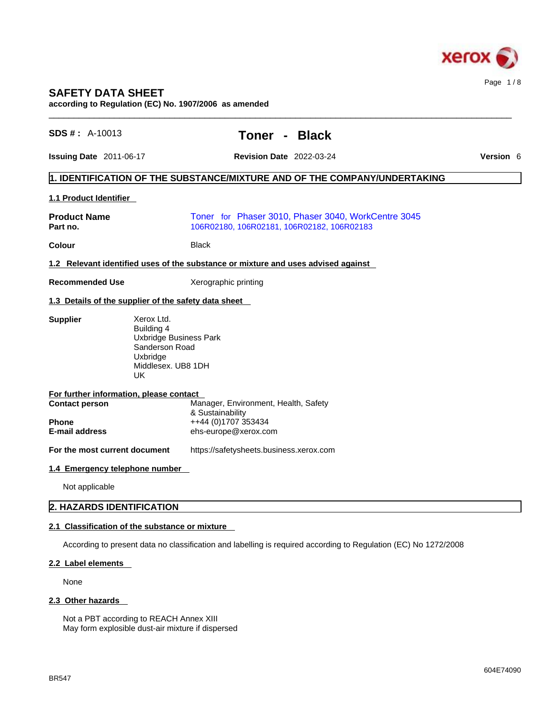

# **SAFETY DATA SHEET**

**according to Regulation (EC) No. 1907/2006 as amended** 

| $SDS #: A-10013$                                     |                                                                                                                     | Toner -                                                                           | <b>Black</b> |                                                                                                                 |                  |
|------------------------------------------------------|---------------------------------------------------------------------------------------------------------------------|-----------------------------------------------------------------------------------|--------------|-----------------------------------------------------------------------------------------------------------------|------------------|
| Issuing Date 2011-06-17                              |                                                                                                                     | <b>Revision Date 2022-03-24</b>                                                   |              |                                                                                                                 | <b>Version 6</b> |
|                                                      |                                                                                                                     |                                                                                   |              | 1. IDENTIFICATION OF THE SUBSTANCE/MIXTURE AND OF THE COMPANY/UNDERTAKING                                       |                  |
| 1.1 Product Identifier                               |                                                                                                                     |                                                                                   |              |                                                                                                                 |                  |
| <b>Product Name</b><br>Part no.                      |                                                                                                                     | 106R02180, 106R02181, 106R02182, 106R02183                                        |              | Toner for Phaser 3010, Phaser 3040, WorkCentre 3045                                                             |                  |
| Colour                                               |                                                                                                                     | <b>Black</b>                                                                      |              |                                                                                                                 |                  |
|                                                      |                                                                                                                     | 1.2 Relevant identified uses of the substance or mixture and uses advised against |              |                                                                                                                 |                  |
| <b>Recommended Use</b>                               |                                                                                                                     | Xerographic printing                                                              |              |                                                                                                                 |                  |
| 1.3 Details of the supplier of the safety data sheet |                                                                                                                     |                                                                                   |              |                                                                                                                 |                  |
| <b>Supplier</b>                                      | Xerox Ltd.<br>Building 4<br><b>Uxbridge Business Park</b><br>Sanderson Road<br>Uxbridge<br>Middlesex. UB8 1DH<br>UK |                                                                                   |              |                                                                                                                 |                  |
| For further information, please contact              |                                                                                                                     |                                                                                   |              |                                                                                                                 |                  |
| <b>Contact person</b>                                |                                                                                                                     | Manager, Environment, Health, Safety<br>& Sustainability                          |              |                                                                                                                 |                  |
| Phone<br>E-mail address                              |                                                                                                                     | ++44 (0)1707 353434<br>ehs-europe@xerox.com                                       |              |                                                                                                                 |                  |
| For the most current document                        |                                                                                                                     | https://safetysheets.business.xerox.com                                           |              |                                                                                                                 |                  |
| 1.4 Emergency telephone number                       |                                                                                                                     |                                                                                   |              |                                                                                                                 |                  |
| Not applicable                                       |                                                                                                                     |                                                                                   |              |                                                                                                                 |                  |
| <b>2. HAZARDS IDENTIFICATION</b>                     |                                                                                                                     |                                                                                   |              |                                                                                                                 |                  |
| 2.1 Classification of the substance or mixture       |                                                                                                                     |                                                                                   |              |                                                                                                                 |                  |
|                                                      |                                                                                                                     |                                                                                   |              | According to present data no classification and labelling is required according to Regulation (EC) No 1272/2008 |                  |
| 2.2 Label elements                                   |                                                                                                                     |                                                                                   |              |                                                                                                                 |                  |
| None                                                 |                                                                                                                     |                                                                                   |              |                                                                                                                 |                  |
| 2.3 Other hazards                                    |                                                                                                                     |                                                                                   |              |                                                                                                                 |                  |
|                                                      | Not a PBT according to REACH Annex XIII<br>May form explosible dust-air mixture if dispersed                        |                                                                                   |              |                                                                                                                 |                  |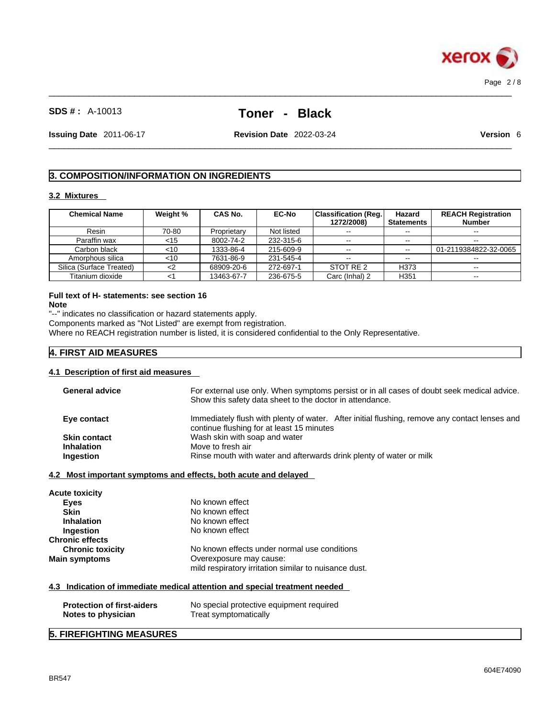

 $\_$  ,  $\_$  ,  $\_$  ,  $\_$  ,  $\_$  ,  $\_$  ,  $\_$  ,  $\_$  ,  $\_$  ,  $\_$  ,  $\_$  ,  $\_$  ,  $\_$  ,  $\_$  ,  $\_$  ,  $\_$  ,  $\_$  ,  $\_$  ,  $\_$  ,  $\_$  ,  $\_$  ,  $\_$  ,  $\_$  ,  $\_$  ,  $\_$  ,  $\_$  ,  $\_$  ,  $\_$  ,  $\_$  ,  $\_$  ,  $\_$  ,  $\_$  ,  $\_$  ,  $\_$  ,  $\_$  ,  $\_$  ,  $\_$  ,

**Issuing Date** 2011-06-17 **Revision Date** 2022-03-24 **Version** 6

 $\_$  ,  $\_$  ,  $\_$  ,  $\_$  ,  $\_$  ,  $\_$  ,  $\_$  ,  $\_$  ,  $\_$  ,  $\_$  ,  $\_$  ,  $\_$  ,  $\_$  ,  $\_$  ,  $\_$  ,  $\_$  ,  $\_$  ,  $\_$  ,  $\_$  ,  $\_$  ,  $\_$  ,  $\_$  ,  $\_$  ,  $\_$  ,  $\_$  ,  $\_$  ,  $\_$  ,  $\_$  ,  $\_$  ,  $\_$  ,  $\_$  ,  $\_$  ,  $\_$  ,  $\_$  ,  $\_$  ,  $\_$  ,  $\_$  ,

# **3. COMPOSITION/INFORMATION ON INGREDIENTS**

# **3.2 Mixtures**

| <b>Chemical Name</b>     | Weight % | CAS No.     | <b>EC-No</b> | Classification (Req. <br>1272/2008) | Hazard<br><b>Statements</b> | <b>REACH Registration</b><br><b>Number</b> |
|--------------------------|----------|-------------|--------------|-------------------------------------|-----------------------------|--------------------------------------------|
| Resin                    | 70-80    | Proprietary | Not listed   | $- -$                               | $- -$                       | $\sim$ $\sim$                              |
| Paraffin wax             | <15      | 8002-74-2   | 232-315-6    | $\sim$ $\sim$                       | --                          | --                                         |
| Carbon black             | <10      | 1333-86-4   | 215-609-9    | $\sim$ $\sim$                       | $\sim$ $\sim$               | 01-2119384822-32-0065                      |
| Amorphous silica         | $<$ 10   | 7631-86-9   | 231-545-4    | $\sim$ $\sim$                       | $- -$                       | $\sim$ $\sim$                              |
| Silica (Surface Treated) | <2       | 68909-20-6  | 272-697-1    | STOT RE 2                           | H373                        | $\sim$ $\sim$                              |
| Titanium dioxide         |          | 13463-67-7  | 236-675-5    | Carc (Inhal) 2                      | H351                        | $- -$                                      |

#### **Full text of H- statements: see section 16 Note**

"--" indicates no classification or hazard statements apply.

Components marked as "Not Listed" are exempt from registration.

Where no REACH registration number is listed, it is considered confidential to the Only Representative.

# **4. FIRST AID MEASURES**

# **4.1 Description of first aid measures**

| <b>General advice</b>             | For external use only. When symptoms persist or in all cases of doubt seek medical advice.<br>Show this safety data sheet to the doctor in attendance. |
|-----------------------------------|--------------------------------------------------------------------------------------------------------------------------------------------------------|
| Eye contact                       | Immediately flush with plenty of water. After initial flushing, remove any contact lenses and<br>continue flushing for at least 15 minutes             |
| <b>Skin contact</b>               | Wash skin with soap and water                                                                                                                          |
| <b>Inhalation</b>                 | Move to fresh air                                                                                                                                      |
| Ingestion                         | Rinse mouth with water and afterwards drink plenty of water or milk                                                                                    |
|                                   | <u>4.2 Most important symptoms and effects, both acute and delayed</u>                                                                                 |
| Acute toxicity                    |                                                                                                                                                        |
| <b>Eyes</b>                       | No known effect                                                                                                                                        |
| <b>Skin</b>                       | No known effect                                                                                                                                        |
| <b>Inhalation</b>                 | No known effect                                                                                                                                        |
| Ingestion                         | No known effect                                                                                                                                        |
| <b>Chronic effects</b>            |                                                                                                                                                        |
| <b>Chronic toxicity</b>           | No known effects under normal use conditions                                                                                                           |
| Main symptoms                     | Overexposure may cause:                                                                                                                                |
|                                   | mild respiratory irritation similar to nuisance dust.                                                                                                  |
|                                   | 4.3 Indication of immediate medical attention and special treatment needed                                                                             |
|                                   |                                                                                                                                                        |
| <b>Protection of first-aiders</b> | No special protective equipment required                                                                                                               |
| Notes to physician                | Treat symptomatically                                                                                                                                  |
|                                   |                                                                                                                                                        |

# **5. FIREFIGHTING MEASURES**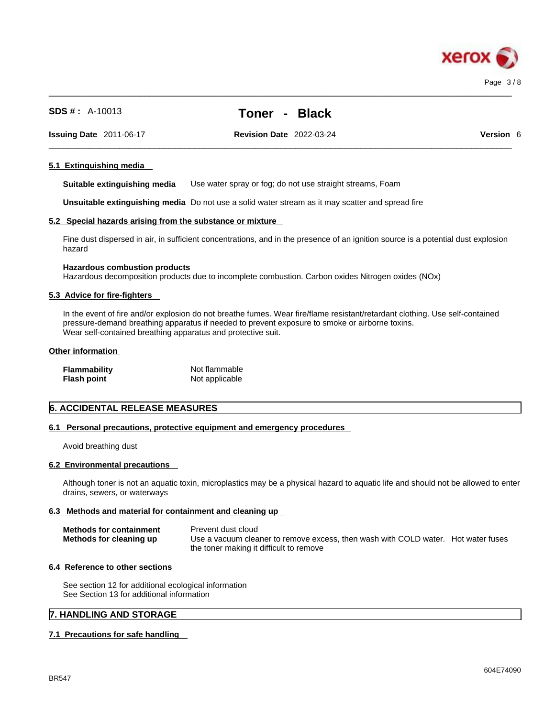

 $\_$  ,  $\_$  ,  $\_$  ,  $\_$  ,  $\_$  ,  $\_$  ,  $\_$  ,  $\_$  ,  $\_$  ,  $\_$  ,  $\_$  ,  $\_$  ,  $\_$  ,  $\_$  ,  $\_$  ,  $\_$  ,  $\_$  ,  $\_$  ,  $\_$  ,  $\_$  ,  $\_$  ,  $\_$  ,  $\_$  ,  $\_$  ,  $\_$  ,  $\_$  ,  $\_$  ,  $\_$  ,  $\_$  ,  $\_$  ,  $\_$  ,  $\_$  ,  $\_$  ,  $\_$  ,  $\_$  ,  $\_$  ,  $\_$  ,

 $\_$  ,  $\_$  ,  $\_$  ,  $\_$  ,  $\_$  ,  $\_$  ,  $\_$  ,  $\_$  ,  $\_$  ,  $\_$  ,  $\_$  ,  $\_$  ,  $\_$  ,  $\_$  ,  $\_$  ,  $\_$  ,  $\_$  ,  $\_$  ,  $\_$  ,  $\_$  ,  $\_$  ,  $\_$  ,  $\_$  ,  $\_$  ,  $\_$  ,  $\_$  ,  $\_$  ,  $\_$  ,  $\_$  ,  $\_$  ,  $\_$  ,  $\_$  ,  $\_$  ,  $\_$  ,  $\_$  ,  $\_$  ,  $\_$  ,

**Issuing Date** 2011-06-17 **Revision Date** 2022-03-24 **Version** 6

# **5.1 Extinguishing media**

**Suitable extinguishing media** Use water spray or fog; do not use straight streams, Foam

**Unsuitable extinguishing media** Do not use a solid water stream as it may scatterand spread fire

#### **5.2 Special hazards arising from the substance or mixture**

Fine dust dispersed in air, in sufficient concentrations, and in the presence of an ignition source is a potential dust explosion hazard

#### **Hazardous combustion products**

Hazardous decomposition products due to incomplete combustion. Carbon oxides Nitrogen oxides (NOx)

#### **5.3 Advice for fire-fighters**

In the event of fire and/or explosion do not breathe fumes. Wear fire/flame resistant/retardant clothing. Use self-contained pressure-demand breathing apparatus if needed to prevent exposure to smoke or airborne toxins. Wear self-contained breathing apparatus and protective suit.

#### **Other information**

| <b>Flammability</b> | Not flammable  |
|---------------------|----------------|
| <b>Flash point</b>  | Not applicable |

# **6. ACCIDENTAL RELEASE MEASURES**

#### **6.1 Personal precautions, protective equipment and emergency procedures**

Avoid breathing dust

#### **6.2 Environmental precautions**

Although toner is not an aquatic toxin, microplastics may be a physical hazard to aquatic life and should not be allowed to enter drains, sewers, or waterways

#### **6.3 Methods and material for containment and cleaning up**

| <b>Methods for containment</b> | Prevent dust cloud                                                                |
|--------------------------------|-----------------------------------------------------------------------------------|
| Methods for cleaning up        | Use a vacuum cleaner to remove excess, then wash with COLD water. Hot water fuses |
|                                | the toner making it difficult to remove                                           |

# **6.4 Reference to other sections**

See section 12 for additional ecological information See Section 13 for additional information

# **7. HANDLING AND STORAGE**

# **7.1 Precautions for safe handling**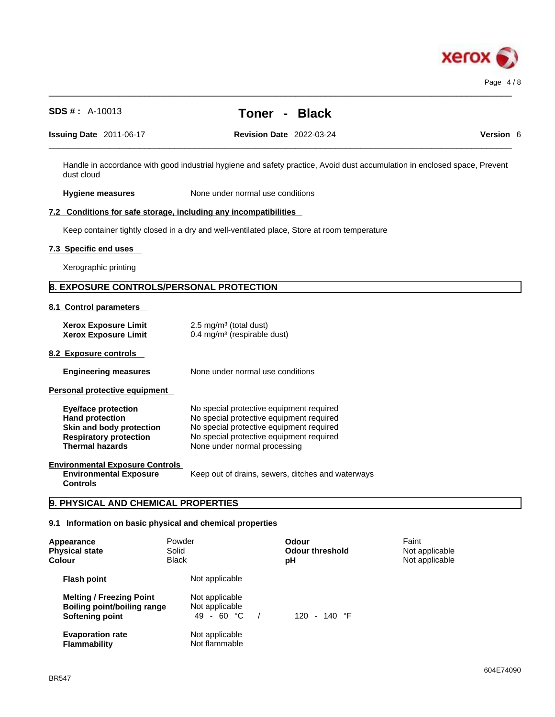

# $\_$  ,  $\_$  ,  $\_$  ,  $\_$  ,  $\_$  ,  $\_$  ,  $\_$  ,  $\_$  ,  $\_$  ,  $\_$  ,  $\_$  ,  $\_$  ,  $\_$  ,  $\_$  ,  $\_$  ,  $\_$  ,  $\_$  ,  $\_$  ,  $\_$  ,  $\_$  ,  $\_$  ,  $\_$  ,  $\_$  ,  $\_$  ,  $\_$  ,  $\_$  ,  $\_$  ,  $\_$  ,  $\_$  ,  $\_$  ,  $\_$  ,  $\_$  ,  $\_$  ,  $\_$  ,  $\_$  ,  $\_$  ,  $\_$  , **SDS # :** A-10013 **Toner - Black Issuing Date** 2011-06-17 **Revision Date** 2022-03-24 **Version** 6 Handle in accordance with good industrial hygiene and safety practice, Avoid dust accumulation in enclosed space, Prevent dust cloud **Hygiene measures** None under normal use conditions **7.2 Conditions for safe storage, including any incompatibilities** Keep container tightly closed in a dry and well-ventilated place, Store at room temperature **7.3 Specific end uses**  Xerographic printing **8. EXPOSURE CONTROLS/PERSONAL PROTECTION 8.1 Control parameters Xerox Exposure Limit**  $2.5 \text{ mg/m}^3$  (total dust) **Xerox Exposure Limit** 0.4 mg/m<sup>3</sup> (respirable dust) **8.2 Exposure controls Engineering measures** None under normal use conditions **Personal protective equipment Eye/face protection** No special protective equipment required **Hand protection** No special protective equipment required **Skin and body protection** No special protective equipment required **Respiratory protection** No special protective equipment required **Thermal hazards** None under normal processing **Environmental Exposure Controls Environmental Exposure Controls**  Keep out of drains, sewers, ditches and waterways **9. PHYSICAL AND CHEMICAL PROPERTIES 9.1 Information on basic physical and chemical properties Melting / Freezing Point** Not applicable **Boiling point/boiling range** Not applicable<br>**Softening point** 49 - 60 °C / **Softening point** 49 - 60 °C / 120 - 140 °F **Appearance** Powder **Odour** Faint **Physical state** Solid **Odour threshold** Not applicable **Colour** Black **pH** Not applicable **Flash point** Not applicable

 $\_$  ,  $\_$  ,  $\_$  ,  $\_$  ,  $\_$  ,  $\_$  ,  $\_$  ,  $\_$  ,  $\_$  ,  $\_$  ,  $\_$  ,  $\_$  ,  $\_$  ,  $\_$  ,  $\_$  ,  $\_$  ,  $\_$  ,  $\_$  ,  $\_$  ,  $\_$  ,  $\_$  ,  $\_$  ,  $\_$  ,  $\_$  ,  $\_$  ,  $\_$  ,  $\_$  ,  $\_$  ,  $\_$  ,  $\_$  ,  $\_$  ,  $\_$  ,  $\_$  ,  $\_$  ,  $\_$  ,  $\_$  ,  $\_$  ,

**Flammability** 

**Evaporation rate Reserve Show Not applicable**<br> **Flammability Not flammable**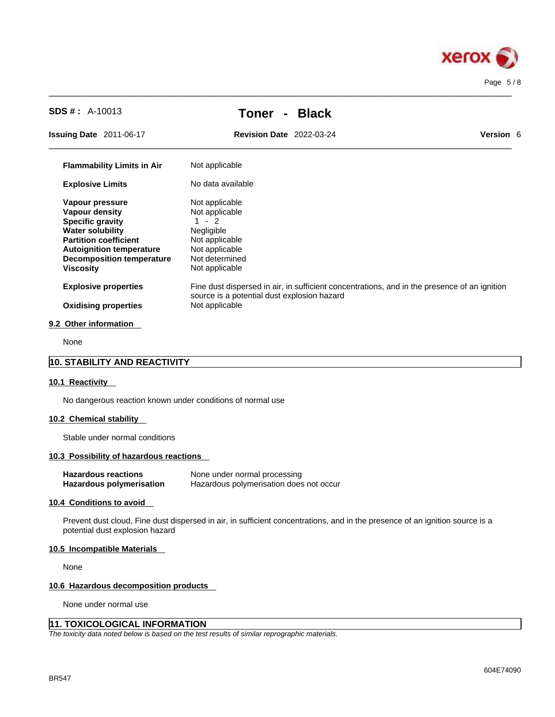

| <b>SDS #:</b> $A-10013$                                                                                                                                                                                                   | <b>Black</b><br><b>Toner</b><br>$\blacksquare$                                                                                                                |                  |
|---------------------------------------------------------------------------------------------------------------------------------------------------------------------------------------------------------------------------|---------------------------------------------------------------------------------------------------------------------------------------------------------------|------------------|
| <b>Issuing Date</b> 2011-06-17                                                                                                                                                                                            | <b>Revision Date 2022-03-24</b>                                                                                                                               | <b>Version 6</b> |
| <b>Flammability Limits in Air</b>                                                                                                                                                                                         | Not applicable                                                                                                                                                |                  |
| <b>Explosive Limits</b>                                                                                                                                                                                                   | No data available                                                                                                                                             |                  |
| Vapour pressure<br><b>Vapour density</b><br><b>Specific gravity</b><br><b>Water solubility</b><br><b>Partition coefficient</b><br><b>Autoignition temperature</b><br><b>Decomposition temperature</b><br><b>Viscosity</b> | Not applicable<br>Not applicable<br>$1 - 2$<br>Negligible<br>Not applicable<br>Not applicable<br>Not determined<br>Not applicable                             |                  |
| <b>Explosive properties</b><br><b>Oxidising properties</b>                                                                                                                                                                | Fine dust dispersed in air, in sufficient concentrations, and in the presence of an ignition<br>source is a potential dust explosion hazard<br>Not applicable |                  |

 $\_$  ,  $\_$  ,  $\_$  ,  $\_$  ,  $\_$  ,  $\_$  ,  $\_$  ,  $\_$  ,  $\_$  ,  $\_$  ,  $\_$  ,  $\_$  ,  $\_$  ,  $\_$  ,  $\_$  ,  $\_$  ,  $\_$  ,  $\_$  ,  $\_$  ,  $\_$  ,  $\_$  ,  $\_$  ,  $\_$  ,  $\_$  ,  $\_$  ,  $\_$  ,  $\_$  ,  $\_$  ,  $\_$  ,  $\_$  ,  $\_$  ,  $\_$  ,  $\_$  ,  $\_$  ,  $\_$  ,  $\_$  ,  $\_$  ,

None

# **10. STABILITY AND REACTIVITY**

#### **10.1 Reactivity**

No dangerous reaction known under conditions of normal use

# **10.2 Chemical stability**

Stable under normal conditions

#### **10.3 Possibility of hazardous reactions**

| <b>Hazardous reactions</b> | None under normal processing            |
|----------------------------|-----------------------------------------|
| Hazardous polymerisation   | Hazardous polymerisation does not occur |

# **10.4 Conditions to avoid**

Prevent dust cloud, Fine dust dispersed in air, in sufficient concentrations, and in the presence of an ignition source is a potential dust explosion hazard

#### **10.5 Incompatible Materials**

None

#### **10.6 Hazardous decomposition products**

None under normal use

# **11. TOXICOLOGICAL INFORMATION**

*The toxicity data noted below is based on the test results of similar reprographic materials.*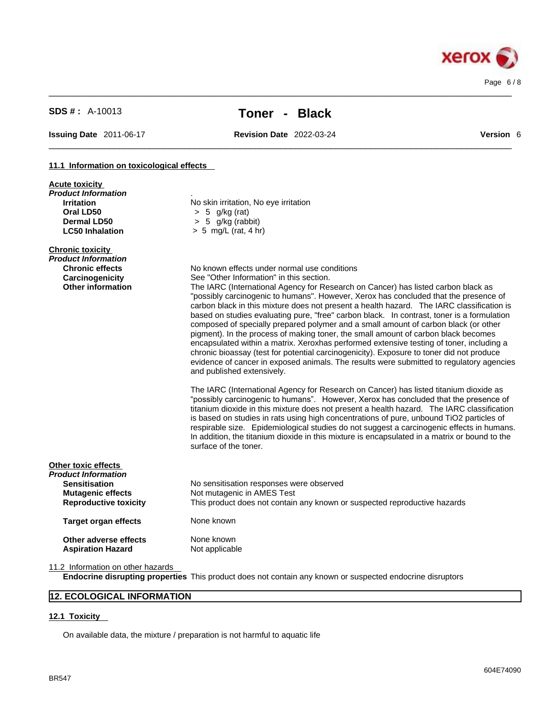

 $\_$  ,  $\_$  ,  $\_$  ,  $\_$  ,  $\_$  ,  $\_$  ,  $\_$  ,  $\_$  ,  $\_$  ,  $\_$  ,  $\_$  ,  $\_$  ,  $\_$  ,  $\_$  ,  $\_$  ,  $\_$  ,  $\_$  ,  $\_$  ,  $\_$  ,  $\_$  ,  $\_$  ,  $\_$  ,  $\_$  ,  $\_$  ,  $\_$  ,  $\_$  ,  $\_$  ,  $\_$  ,  $\_$  ,  $\_$  ,  $\_$  ,  $\_$  ,  $\_$  ,  $\_$  ,  $\_$  ,  $\_$  ,  $\_$  ,

**Issuing Date** 2011-06-17 **Revision Date** 2022-03-24 **Version** 6

 $\_$  ,  $\_$  ,  $\_$  ,  $\_$  ,  $\_$  ,  $\_$  ,  $\_$  ,  $\_$  ,  $\_$  ,  $\_$  ,  $\_$  ,  $\_$  ,  $\_$  ,  $\_$  ,  $\_$  ,  $\_$  ,  $\_$  ,  $\_$  ,  $\_$  ,  $\_$  ,  $\_$  ,  $\_$  ,  $\_$  ,  $\_$  ,  $\_$  ,  $\_$  ,  $\_$  ,  $\_$  ,  $\_$  ,  $\_$  ,  $\_$  ,  $\_$  ,  $\_$  ,  $\_$  ,  $\_$  ,  $\_$  ,  $\_$  ,

# **11.1 Information on toxicological effects**

| <b>Acute toxicity</b>                                                                                                   |                                                                                                                                                                                                                                                                                                                                                                                                                                                                                                                                                                                                                                                                                                                                                                                                                      |
|-------------------------------------------------------------------------------------------------------------------------|----------------------------------------------------------------------------------------------------------------------------------------------------------------------------------------------------------------------------------------------------------------------------------------------------------------------------------------------------------------------------------------------------------------------------------------------------------------------------------------------------------------------------------------------------------------------------------------------------------------------------------------------------------------------------------------------------------------------------------------------------------------------------------------------------------------------|
| Product Information<br><b>Irritation</b><br>Oral LD50<br>Dermal LD50<br><b>LC50 Inhalation</b>                          | No skin irritation, No eye irritation<br>$> 5$ g/kg (rat)<br>$> 5$ g/kg (rabbit)<br>$> 5$ mg/L (rat, 4 hr)                                                                                                                                                                                                                                                                                                                                                                                                                                                                                                                                                                                                                                                                                                           |
|                                                                                                                         |                                                                                                                                                                                                                                                                                                                                                                                                                                                                                                                                                                                                                                                                                                                                                                                                                      |
| <b>Chronic toxicity</b><br>Product Information<br><b>Chronic effects</b><br>Carcinogenicity<br><b>Other information</b> | No known effects under normal use conditions<br>See "Other Information" in this section.<br>The IARC (International Agency for Research on Cancer) has listed carbon black as<br>"possibly carcinogenic to humans". However, Xerox has concluded that the presence of<br>carbon black in this mixture does not present a health hazard. The IARC classification is<br>based on studies evaluating pure, "free" carbon black. In contrast, toner is a formulation<br>composed of specially prepared polymer and a small amount of carbon black (or other<br>pigment). In the process of making toner, the small amount of carbon black becomes<br>encapsulated within a matrix. Xeroxhas performed extensive testing of toner, including a                                                                            |
|                                                                                                                         | chronic bioassay (test for potential carcinogenicity). Exposure to toner did not produce<br>evidence of cancer in exposed animals. The results were submitted to regulatory agencies<br>and published extensively.<br>The IARC (International Agency for Research on Cancer) has listed titanium dioxide as<br>"possibly carcinogenic to humans". However, Xerox has concluded that the presence of<br>titanium dioxide in this mixture does not present a health hazard. The IARC classification<br>is based on studies in rats using high concentrations of pure, unbound TiO2 particles of<br>respirable size. Epidemiological studies do not suggest a carcinogenic effects in humans.<br>In addition, the titanium dioxide in this mixture is encapsulated in a matrix or bound to the<br>surface of the toner. |
| Other toxic effects                                                                                                     |                                                                                                                                                                                                                                                                                                                                                                                                                                                                                                                                                                                                                                                                                                                                                                                                                      |
| Product Information                                                                                                     |                                                                                                                                                                                                                                                                                                                                                                                                                                                                                                                                                                                                                                                                                                                                                                                                                      |
| <b>Sensitisation</b><br><b>Mutagenic effects</b>                                                                        | No sensitisation responses were observed<br>Not mutagenic in AMES Test                                                                                                                                                                                                                                                                                                                                                                                                                                                                                                                                                                                                                                                                                                                                               |
| <b>Reproductive toxicity</b>                                                                                            | This product does not contain any known or suspected reproductive hazards                                                                                                                                                                                                                                                                                                                                                                                                                                                                                                                                                                                                                                                                                                                                            |
| <b>Target organ effects</b>                                                                                             | None known                                                                                                                                                                                                                                                                                                                                                                                                                                                                                                                                                                                                                                                                                                                                                                                                           |
| Other adverse effects<br><b>Aspiration Hazard</b>                                                                       | None known<br>Not applicable                                                                                                                                                                                                                                                                                                                                                                                                                                                                                                                                                                                                                                                                                                                                                                                         |
| 11.2 Information on other hazards                                                                                       |                                                                                                                                                                                                                                                                                                                                                                                                                                                                                                                                                                                                                                                                                                                                                                                                                      |
|                                                                                                                         |                                                                                                                                                                                                                                                                                                                                                                                                                                                                                                                                                                                                                                                                                                                                                                                                                      |

**Endocrine disrupting properties** This product does not contain any known or suspected endocrine disruptors

# **12. ECOLOGICAL INFORMATION**

# **12.1 Toxicity**

On available data, the mixture / preparation is not harmful to aquatic life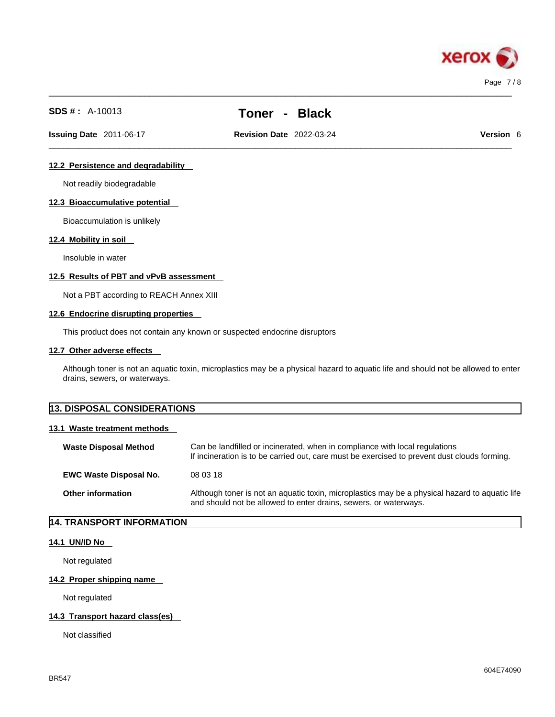

 $\_$  ,  $\_$  ,  $\_$  ,  $\_$  ,  $\_$  ,  $\_$  ,  $\_$  ,  $\_$  ,  $\_$  ,  $\_$  ,  $\_$  ,  $\_$  ,  $\_$  ,  $\_$  ,  $\_$  ,  $\_$  ,  $\_$  ,  $\_$  ,  $\_$  ,  $\_$  ,  $\_$  ,  $\_$  ,  $\_$  ,  $\_$  ,  $\_$  ,  $\_$  ,  $\_$  ,  $\_$  ,  $\_$  ,  $\_$  ,  $\_$  ,  $\_$  ,  $\_$  ,  $\_$  ,  $\_$  ,  $\_$  ,  $\_$  ,

**Issuing Date** 2011-06-17 **Revision Date** 2022-03-24 **Version** 6

 $\_$  ,  $\_$  ,  $\_$  ,  $\_$  ,  $\_$  ,  $\_$  ,  $\_$  ,  $\_$  ,  $\_$  ,  $\_$  ,  $\_$  ,  $\_$  ,  $\_$  ,  $\_$  ,  $\_$  ,  $\_$  ,  $\_$  ,  $\_$  ,  $\_$  ,  $\_$  ,  $\_$  ,  $\_$  ,  $\_$  ,  $\_$  ,  $\_$  ,  $\_$  ,  $\_$  ,  $\_$  ,  $\_$  ,  $\_$  ,  $\_$  ,  $\_$  ,  $\_$  ,  $\_$  ,  $\_$  ,  $\_$  ,  $\_$  ,

# **12.2 Persistence and degradability**

Not readily biodegradable

# **12.3 Bioaccumulative potential**

Bioaccumulation is unlikely

# **12.4 Mobility in soil**

Insoluble in water

#### **12.5 Results of PBT and vPvB assessment**

Not a PBT according to REACH Annex XIII

# **12.6 Endocrine disrupting properties**

This product does not contain any known or suspected endocrine disruptors

#### **12.7 Other adverse effects**

Although toner is not an aquatic toxin, microplastics may be a physical hazard to aquatic life and should not be allowed to enter drains, sewers, or waterways.

# **13. DISPOSAL CONSIDERATIONS**

# **13.1 Waste treatment methods**

| <b>Waste Disposal Method</b>  | Can be landfilled or incinerated, when in compliance with local regulations<br>If incineration is to be carried out, care must be exercised to prevent dust clouds forming. |
|-------------------------------|-----------------------------------------------------------------------------------------------------------------------------------------------------------------------------|
| <b>EWC Waste Disposal No.</b> | 08 03 18                                                                                                                                                                    |
| <b>Other information</b>      | Although toner is not an aquatic toxin, microplastics may be a physical hazard to aquatic life<br>and should not be allowed to enter drains, sewers, or waterways.          |

# **14. TRANSPORT INFORMATION**

#### **14.1 UN/ID No**

Not regulated

# **14.2 Proper shipping name**

Not regulated

# **14.3 Transport hazard class(es)**

Not classified